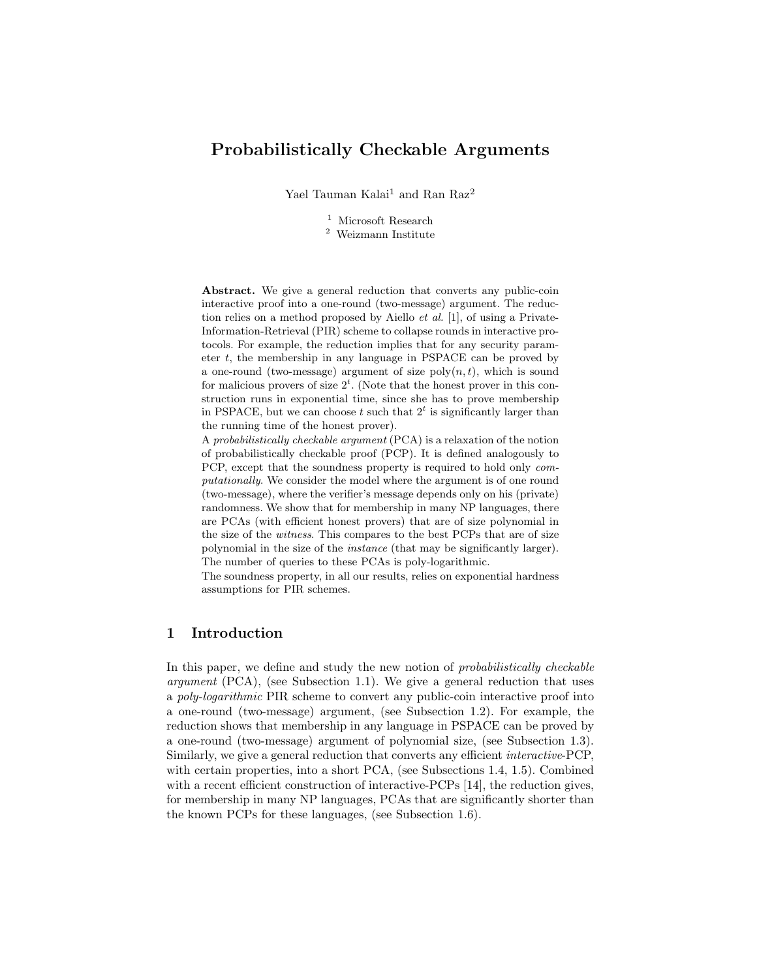# Probabilistically Checkable Arguments

Yael Tauman Kalai<sup>1</sup> and Ran Raz<sup>2</sup>

 $^{\rm 1}$  Microsoft Research

<sup>2</sup> Weizmann Institute

Abstract. We give a general reduction that converts any public-coin interactive proof into a one-round (two-message) argument. The reduction relies on a method proposed by Aiello et al. [1], of using a Private-Information-Retrieval (PIR) scheme to collapse rounds in interactive protocols. For example, the reduction implies that for any security parameter  $t$ , the membership in any language in PSPACE can be proved by a one-round (two-message) argument of size  $poly(n, t)$ , which is sound for malicious provers of size  $2<sup>t</sup>$ . (Note that the honest prover in this construction runs in exponential time, since she has to prove membership in PSPACE, but we can choose  $t$  such that  $2<sup>t</sup>$  is significantly larger than the running time of the honest prover).

A probabilistically checkable argument (PCA) is a relaxation of the notion of probabilistically checkable proof (PCP). It is defined analogously to PCP, except that the soundness property is required to hold only *com*putationally. We consider the model where the argument is of one round (two-message), where the verifier's message depends only on his (private) randomness. We show that for membership in many NP languages, there are PCAs (with efficient honest provers) that are of size polynomial in the size of the witness. This compares to the best PCPs that are of size polynomial in the size of the instance (that may be significantly larger). The number of queries to these PCAs is poly-logarithmic.

The soundness property, in all our results, relies on exponential hardness assumptions for PIR schemes.

## 1 Introduction

In this paper, we define and study the new notion of *probabilistically checkable* argument (PCA), (see Subsection 1.1). We give a general reduction that uses a poly-logarithmic PIR scheme to convert any public-coin interactive proof into a one-round (two-message) argument, (see Subsection 1.2). For example, the reduction shows that membership in any language in PSPACE can be proved by a one-round (two-message) argument of polynomial size, (see Subsection 1.3). Similarly, we give a general reduction that converts any efficient interactive-PCP, with certain properties, into a short PCA, (see Subsections 1.4, 1.5). Combined with a recent efficient construction of interactive-PCPs [14], the reduction gives, for membership in many NP languages, PCAs that are significantly shorter than the known PCPs for these languages, (see Subsection 1.6).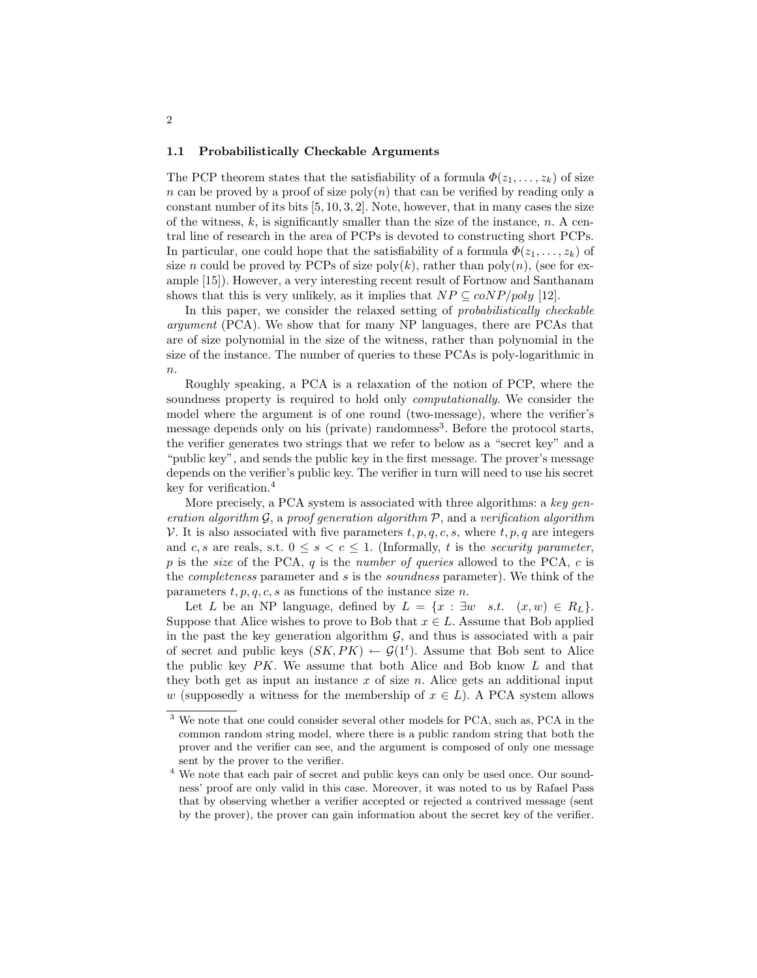#### 1.1 Probabilistically Checkable Arguments

The PCP theorem states that the satisfiability of a formula  $\Phi(z_1, \ldots, z_k)$  of size n can be proved by a proof of size  $\text{poly}(n)$  that can be verified by reading only a constant number of its bits  $[5, 10, 3, 2]$ . Note, however, that in many cases the size of the witness,  $k$ , is significantly smaller than the size of the instance,  $n$ . A central line of research in the area of PCPs is devoted to constructing short PCPs. In particular, one could hope that the satisfiability of a formula  $\Phi(z_1, \ldots, z_k)$  of size n could be proved by PCPs of size  $poly(k)$ , rather than  $poly(n)$ , (see for example [15]). However, a very interesting recent result of Fortnow and Santhanam shows that this is very unlikely, as it implies that  $NP \subseteq coNP/poly$  [12].

In this paper, we consider the relaxed setting of probabilistically checkable argument (PCA). We show that for many NP languages, there are PCAs that are of size polynomial in the size of the witness, rather than polynomial in the size of the instance. The number of queries to these PCAs is poly-logarithmic in  $\overline{n}$ .

Roughly speaking, a PCA is a relaxation of the notion of PCP, where the soundness property is required to hold only *computationally*. We consider the model where the argument is of one round (two-message), where the verifier's message depends only on his (private) randomness<sup>3</sup>. Before the protocol starts, the verifier generates two strings that we refer to below as a "secret key" and a "public key", and sends the public key in the first message. The prover's message depends on the verifier's public key. The verifier in turn will need to use his secret key for verification.<sup>4</sup>

More precisely, a PCA system is associated with three algorithms: a key generation algorithm  $\mathcal{G}$ , a proof generation algorithm  $\mathcal{P}$ , and a verification algorithm V. It is also associated with five parameters  $t, p, q, c, s$ , where  $t, p, q$  are integers and c, s are reals, s.t.  $0 \leq s < c \leq 1$ . (Informally, t is the *security parameter*, p is the size of the PCA, q is the number of queries allowed to the PCA, c is the completeness parameter and s is the soundness parameter). We think of the parameters  $t, p, q, c, s$  as functions of the instance size n.

Let L be an NP language, defined by  $L = \{x : \exists w \text{ s.t. } (x, w) \in R_L\}.$ Suppose that Alice wishes to prove to Bob that  $x \in L$ . Assume that Bob applied in the past the key generation algorithm  $G$ , and thus is associated with a pair of secret and public keys  $(SK, PK) \leftarrow \mathcal{G}(1^t)$ . Assume that Bob sent to Alice the public key  $PK$ . We assume that both Alice and Bob know  $L$  and that they both get as input an instance  $x$  of size  $n$ . Alice gets an additional input w (supposedly a witness for the membership of  $x \in L$ ). A PCA system allows

<sup>3</sup> We note that one could consider several other models for PCA, such as, PCA in the common random string model, where there is a public random string that both the prover and the verifier can see, and the argument is composed of only one message sent by the prover to the verifier.

<sup>&</sup>lt;sup>4</sup> We note that each pair of secret and public keys can only be used once. Our soundness' proof are only valid in this case. Moreover, it was noted to us by Rafael Pass that by observing whether a verifier accepted or rejected a contrived message (sent by the prover), the prover can gain information about the secret key of the verifier.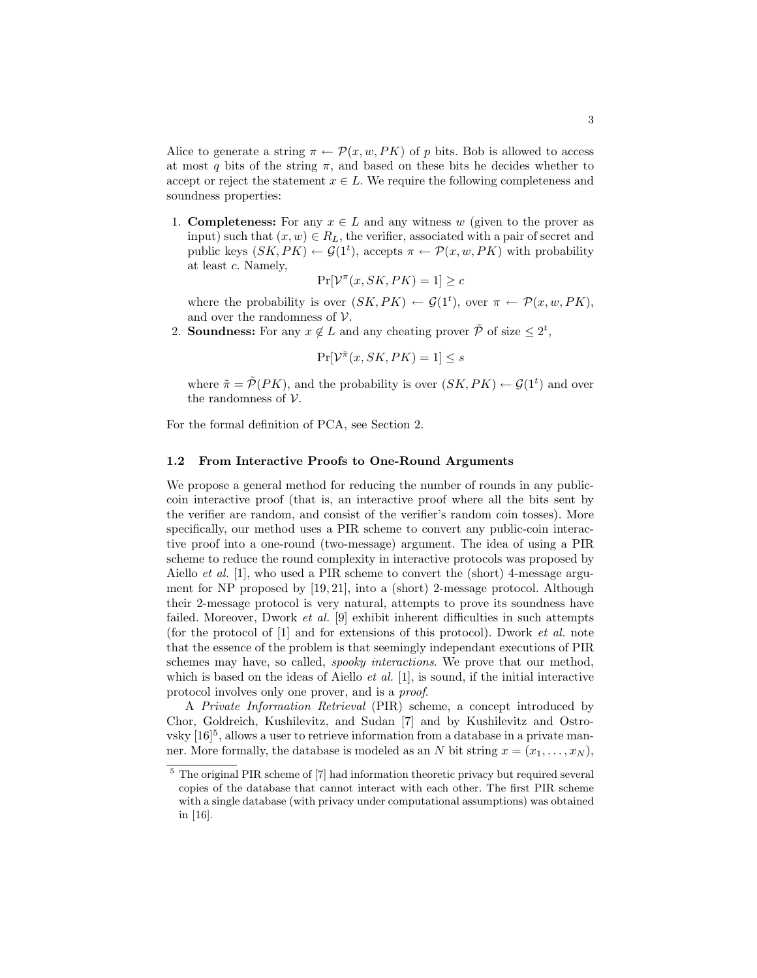Alice to generate a string  $\pi \leftarrow \mathcal{P}(x, w, PK)$  of p bits. Bob is allowed to access at most q bits of the string  $\pi$ , and based on these bits he decides whether to accept or reject the statement  $x \in L$ . We require the following completeness and soundness properties:

1. **Completeness:** For any  $x \in L$  and any witness w (given to the prover as input) such that  $(x, w) \in R_L$ , the verifier, associated with a pair of secret and public keys  $(SK, PK) \leftarrow \mathcal{G}(1^t)$ , accepts  $\pi \leftarrow \mathcal{P}(x, w, PK)$  with probability at least c. Namely,

$$
\Pr[\mathcal{V}^\pi(x, SK, PK) = 1] \ge c
$$

where the probability is over  $(SK, PK) \leftarrow \mathcal{G}(1^t)$ , over  $\pi \leftarrow \mathcal{P}(x, w, PK)$ , and over the randomness of  $\mathcal V$ .

2. Soundness: For any  $x \notin L$  and any cheating prover  $\tilde{\mathcal{P}}$  of size  $\leq 2^t$ ,

$$
\Pr[\mathcal{V}^{\tilde{\pi}}(x, SK, PK) = 1] \le s
$$

where  $\tilde{\pi} = \tilde{\mathcal{P}}(PK)$ , and the probability is over  $(SK, PK) \leftarrow \mathcal{G}(1^t)$  and over the randomness of  $V$ .

For the formal definition of PCA, see Section 2.

### 1.2 From Interactive Proofs to One-Round Arguments

We propose a general method for reducing the number of rounds in any publiccoin interactive proof (that is, an interactive proof where all the bits sent by the verifier are random, and consist of the verifier's random coin tosses). More specifically, our method uses a PIR scheme to convert any public-coin interactive proof into a one-round (two-message) argument. The idea of using a PIR scheme to reduce the round complexity in interactive protocols was proposed by Aiello *et al.* [1], who used a PIR scheme to convert the (short) 4-message argument for NP proposed by [19, 21], into a (short) 2-message protocol. Although their 2-message protocol is very natural, attempts to prove its soundness have failed. Moreover, Dwork et al. [9] exhibit inherent difficulties in such attempts (for the protocol of [1] and for extensions of this protocol). Dwork et al. note that the essence of the problem is that seemingly independant executions of PIR schemes may have, so called, spooky interactions. We prove that our method, which is based on the ideas of Aiello *et al.* [1], is sound, if the initial interactive protocol involves only one prover, and is a proof.

A Private Information Retrieval (PIR) scheme, a concept introduced by Chor, Goldreich, Kushilevitz, and Sudan [7] and by Kushilevitz and Ostro $v$ sky  $[16]$ <sup>5</sup>, allows a user to retrieve information from a database in a private manner. More formally, the database is modeled as an N bit string  $x = (x_1, \ldots, x_N)$ ,

<sup>5</sup> The original PIR scheme of [7] had information theoretic privacy but required several copies of the database that cannot interact with each other. The first PIR scheme with a single database (with privacy under computational assumptions) was obtained in [16].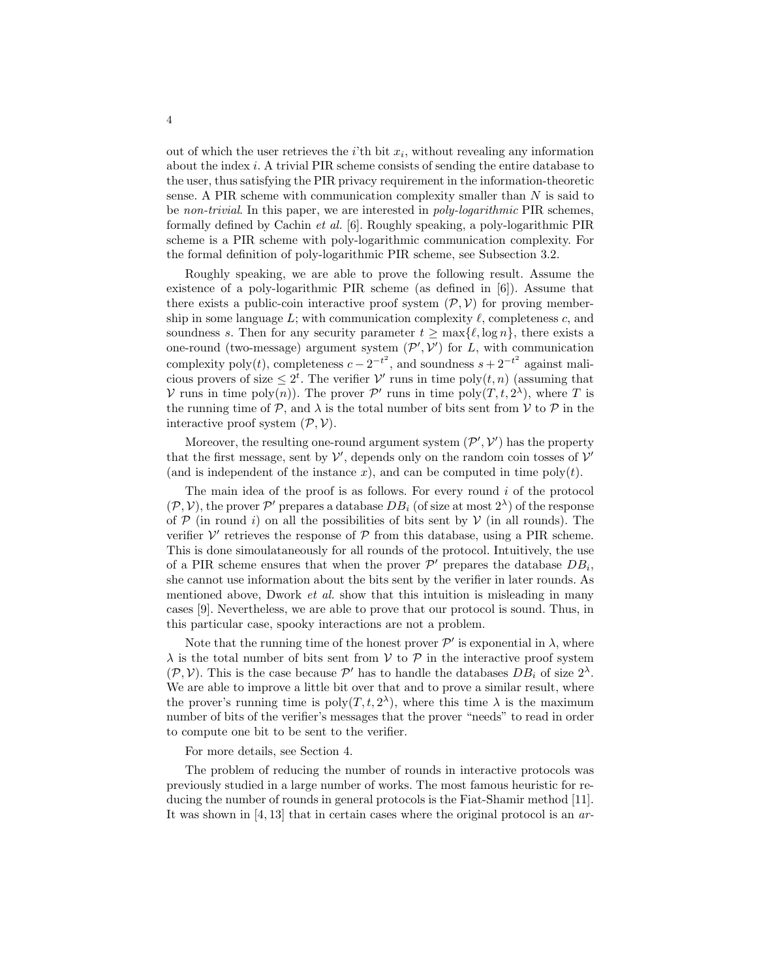out of which the user retrieves the  $i$ <sup>th</sup> bit  $x_i$ , without revealing any information about the index i. A trivial PIR scheme consists of sending the entire database to the user, thus satisfying the PIR privacy requirement in the information-theoretic sense. A PIR scheme with communication complexity smaller than  $N$  is said to be non-trivial. In this paper, we are interested in poly-logarithmic PIR schemes, formally defined by Cachin et al. [6]. Roughly speaking, a poly-logarithmic PIR scheme is a PIR scheme with poly-logarithmic communication complexity. For the formal definition of poly-logarithmic PIR scheme, see Subsection 3.2.

Roughly speaking, we are able to prove the following result. Assume the existence of a poly-logarithmic PIR scheme (as defined in  $[6]$ ). Assume that there exists a public-coin interactive proof system  $(\mathcal{P}, \mathcal{V})$  for proving membership in some language  $L$ ; with communication complexity  $\ell$ , completeness c, and soundness s. Then for any security parameter  $t \ge \max\{\ell, \log n\}$ , there exists a one-round (two-message) argument system  $(\mathcal{P}', \mathcal{V}')$  for L, with communication complexity poly(*t*), completeness  $c - 2^{-t^2}$ , and soundness  $s + 2^{-t^2}$  against malicious provers of size  $\leq 2^t$ . The verifier  $\mathcal{V}'$  runs in time poly $(t, n)$  (assuming that V runs in time poly $(n)$ ). The prover  $\mathcal{P}'$  runs in time poly $(T, t, 2^{\lambda})$ , where T is the running time of  $P$ , and  $\lambda$  is the total number of bits sent from  $V$  to  $P$  in the interactive proof system  $(\mathcal{P}, \mathcal{V})$ .

Moreover, the resulting one-round argument system  $(\mathcal{P}', \mathcal{V}')$  has the property that the first message, sent by  $\mathcal{V}'$ , depends only on the random coin tosses of  $\mathcal{V}'$ (and is independent of the instance x), and can be computed in time  $poly(t)$ .

The main idea of the proof is as follows. For every round  $i$  of the protocol  $(\mathcal{P}, \mathcal{V})$ , the prover  $\mathcal{P}'$  prepares a database  $DB_i$  (of size at most  $2^{\lambda}$ ) of the response of  $P$  (in round i) on all the possibilities of bits sent by  $V$  (in all rounds). The verifier  $V'$  retrieves the response of  $P$  from this database, using a PIR scheme. This is done simoulataneously for all rounds of the protocol. Intuitively, the use of a PIR scheme ensures that when the prover  $\mathcal{P}'$  prepares the database  $DB_i$ , she cannot use information about the bits sent by the verifier in later rounds. As mentioned above, Dwork *et al.* show that this intuition is misleading in many cases [9]. Nevertheless, we are able to prove that our protocol is sound. Thus, in this particular case, spooky interactions are not a problem.

Note that the running time of the honest prover  $\mathcal{P}'$  is exponential in  $\lambda$ , where  $\lambda$  is the total number of bits sent from V to P in the interactive proof system  $(\mathcal{P}, \mathcal{V})$ . This is the case because  $\mathcal{P}'$  has to handle the databases  $DB_i$  of size  $2^{\lambda}$ . We are able to improve a little bit over that and to prove a similar result, where the prover's running time is  $poly(T, t, 2^{\lambda})$ , where this time  $\lambda$  is the maximum number of bits of the verifier's messages that the prover "needs" to read in order to compute one bit to be sent to the verifier.

For more details, see Section 4.

The problem of reducing the number of rounds in interactive protocols was previously studied in a large number of works. The most famous heuristic for reducing the number of rounds in general protocols is the Fiat-Shamir method [11]. It was shown in [4, 13] that in certain cases where the original protocol is an ar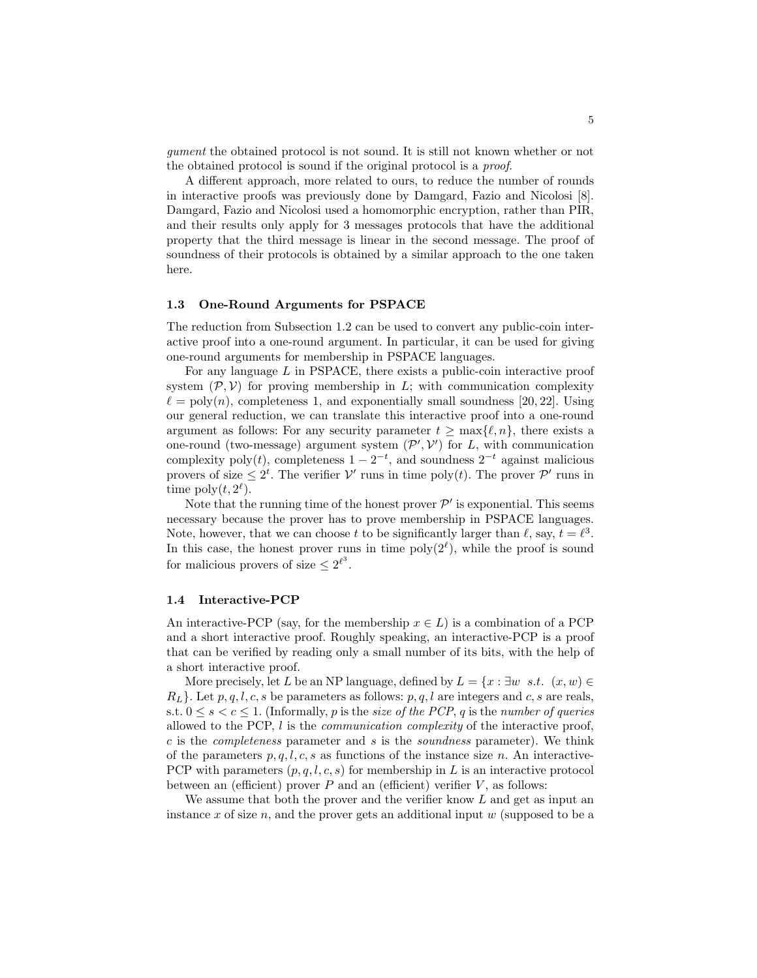gument the obtained protocol is not sound. It is still not known whether or not the obtained protocol is sound if the original protocol is a proof.

A different approach, more related to ours, to reduce the number of rounds in interactive proofs was previously done by Damgard, Fazio and Nicolosi [8]. Damgard, Fazio and Nicolosi used a homomorphic encryption, rather than PIR, and their results only apply for 3 messages protocols that have the additional property that the third message is linear in the second message. The proof of soundness of their protocols is obtained by a similar approach to the one taken here.

### 1.3 One-Round Arguments for PSPACE

The reduction from Subsection 1.2 can be used to convert any public-coin interactive proof into a one-round argument. In particular, it can be used for giving one-round arguments for membership in PSPACE languages.

For any language L in PSPACE, there exists a public-coin interactive proof system  $(\mathcal{P}, \mathcal{V})$  for proving membership in L; with communication complexity  $\ell = \text{poly}(n)$ , completeness 1, and exponentially small soundness [20, 22]. Using our general reduction, we can translate this interactive proof into a one-round argument as follows: For any security parameter  $t > \max\{\ell, n\}$ , there exists a one-round (two-message) argument system  $(\mathcal{P}', \mathcal{V}')$  for L, with communication complexity poly(t), completeness  $1 - 2^{-t}$ , and soundness  $2^{-t}$  against malicious provers of size  $\leq 2^t$ . The verifier  $\mathcal{V}'$  runs in time poly $(t)$ . The prover  $\mathcal{P}'$  runs in time  $\text{poly}(t, 2^{\ell}).$ 

Note that the running time of the honest prover  $\mathcal{P}'$  is exponential. This seems necessary because the prover has to prove membership in PSPACE languages. Note, however, that we can choose t to be significantly larger than  $\ell$ , say,  $t = \ell^3$ . In this case, the honest prover runs in time  $\text{poly}(2^{\ell})$ , while the proof is sound for malicious provers of size  $\leq 2^{\ell^3}$ .

#### 1.4 Interactive-PCP

An interactive-PCP (say, for the membership  $x \in L$ ) is a combination of a PCP and a short interactive proof. Roughly speaking, an interactive-PCP is a proof that can be verified by reading only a small number of its bits, with the help of a short interactive proof.

More precisely, let L be an NP language, defined by  $L = \{x : \exists w \, s.t. \, (x, w) \in$  $R_L$ . Let  $p, q, l, c, s$  be parameters as follows:  $p, q, l$  are integers and c, s are reals, s.t.  $0 \leq s < c \leq 1$ . (Informally, p is the size of the PCP, q is the number of queries allowed to the PCP, l is the communication complexity of the interactive proof,  $c$  is the *completeness* parameter and  $s$  is the *soundness* parameter). We think of the parameters  $p, q, l, c, s$  as functions of the instance size n. An interactive-PCP with parameters  $(p, q, l, c, s)$  for membership in L is an interactive protocol between an (efficient) prover  $P$  and an (efficient) verifier  $V$ , as follows:

We assume that both the prover and the verifier know  $L$  and get as input an instance x of size n, and the prover gets an additional input  $w$  (supposed to be a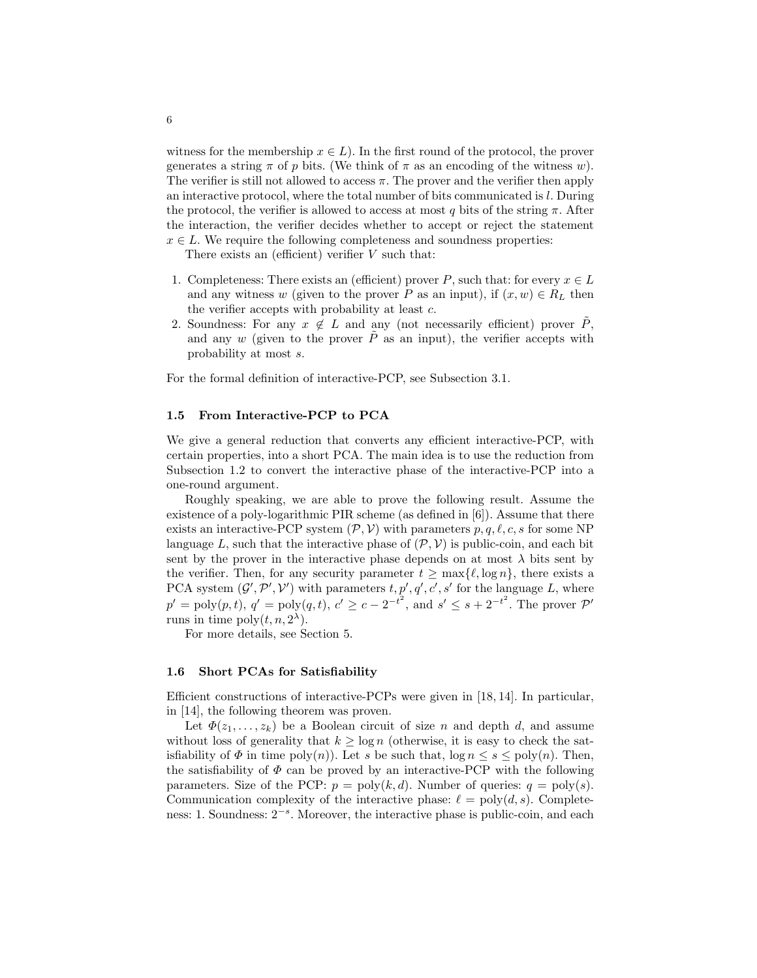witness for the membership  $x \in L$ ). In the first round of the protocol, the prover generates a string  $\pi$  of p bits. (We think of  $\pi$  as an encoding of the witness w). The verifier is still not allowed to access  $\pi$ . The prover and the verifier then apply an interactive protocol, where the total number of bits communicated is l. During the protocol, the verifier is allowed to access at most q bits of the string  $\pi$ . After the interaction, the verifier decides whether to accept or reject the statement  $x \in L$ . We require the following completeness and soundness properties:

There exists an (efficient) verifier  $V$  such that:

- 1. Completeness: There exists an (efficient) prover P, such that: for every  $x \in L$ and any witness w (given to the prover P as an input), if  $(x, w) \in R_L$  then the verifier accepts with probability at least c.
- 2. Soundness: For any  $x \notin L$  and any (not necessarily efficient) prover  $\tilde{P}$ , and any w (given to the prover  $\tilde{P}$  as an input), the verifier accepts with probability at most s.

For the formal definition of interactive-PCP, see Subsection 3.1.

### 1.5 From Interactive-PCP to PCA

We give a general reduction that converts any efficient interactive-PCP, with certain properties, into a short PCA. The main idea is to use the reduction from Subsection 1.2 to convert the interactive phase of the interactive-PCP into a one-round argument.

Roughly speaking, we are able to prove the following result. Assume the existence of a poly-logarithmic PIR scheme (as defined in [6]). Assume that there exists an interactive-PCP system  $(\mathcal{P}, \mathcal{V})$  with parameters  $p, q, \ell, c, s$  for some NP language L, such that the interactive phase of  $(\mathcal{P}, \mathcal{V})$  is public-coin, and each bit sent by the prover in the interactive phase depends on at most  $\lambda$  bits sent by the verifier. Then, for any security parameter  $t \ge \max{\{\ell, \log n\}}$ , there exists a PCA system  $(\mathcal{G}', \mathcal{P}', \mathcal{V}')$  with parameters  $t, p', q', c', s'$  for the language L, where  $p' = \text{poly}(p, t), q' = \text{poly}(q, t), c' \ge c - 2^{-t^2}, \text{ and } s' \le s + 2^{-t^2}.$  The prover  $\mathcal{P}'$ runs in time  $\text{poly}(t, n, 2^{\lambda})$ .

For more details, see Section 5.

### 1.6 Short PCAs for Satisfiability

Efficient constructions of interactive-PCPs were given in [18, 14]. In particular, in [14], the following theorem was proven.

Let  $\Phi(z_1,\ldots,z_k)$  be a Boolean circuit of size n and depth d, and assume without loss of generality that  $k \geq \log n$  (otherwise, it is easy to check the satisfiability of  $\Phi$  in time poly(n)). Let s be such that,  $\log n \leq s \leq \text{poly}(n)$ . Then, the satisfiability of  $\Phi$  can be proved by an interactive-PCP with the following parameters. Size of the PCP:  $p = poly(k, d)$ . Number of queries:  $q = poly(s)$ . Communication complexity of the interactive phase:  $\ell = \text{poly}(d, s)$ . Completeness: 1. Soundness:  $2^{-s}$ . Moreover, the interactive phase is public-coin, and each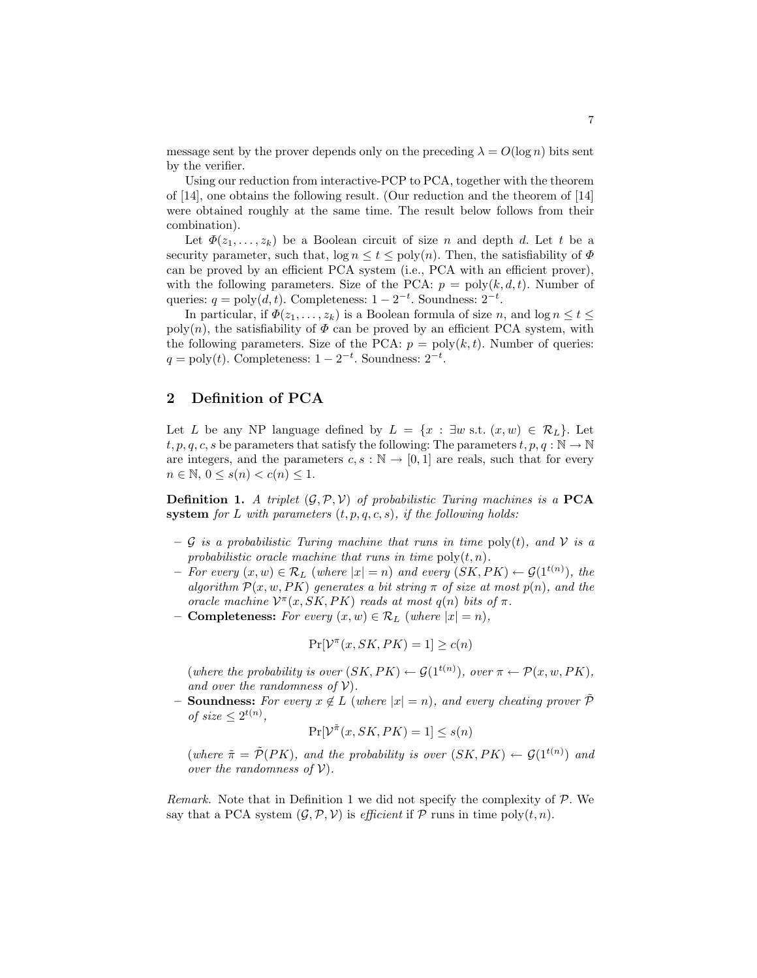message sent by the prover depends only on the preceding  $\lambda = O(\log n)$  bits sent by the verifier.

Using our reduction from interactive-PCP to PCA, together with the theorem of [14], one obtains the following result. (Our reduction and the theorem of [14] were obtained roughly at the same time. The result below follows from their combination).

Let  $\Phi(z_1, \ldots, z_k)$  be a Boolean circuit of size n and depth d. Let t be a security parameter, such that,  $\log n \le t \le \text{poly}(n)$ . Then, the satisfiability of  $\Phi$ can be proved by an efficient PCA system (i.e., PCA with an efficient prover), with the following parameters. Size of the PCA:  $p = \text{poly}(k, d, t)$ . Number of queries:  $q = \text{poly}(d, t)$ . Completeness:  $1 - 2^{-t}$ . Soundness:  $2^{-t}$ .

In particular, if  $\Phi(z_1,\ldots,z_k)$  is a Boolean formula of size n, and  $\log n \leq t \leq$ poly(n), the satisfiability of  $\Phi$  can be proved by an efficient PCA system, with the following parameters. Size of the PCA:  $p = poly(k, t)$ . Number of queries:  $q = \text{poly}(t)$ . Completeness:  $1 - 2^{-t}$ . Soundness:  $2^{-t}$ .

### 2 Definition of PCA

Let L be any NP language defined by  $L = \{x : \exists w \text{ s.t. } (x, w) \in \mathcal{R}_L\}$ . Let t, p, q, c, s be parameters that satisfy the following: The parameters  $t, p, q : \mathbb{N} \to \mathbb{N}$ are integers, and the parameters  $c, s : \mathbb{N} \to [0, 1]$  are reals, such that for every  $n \in \mathbb{N}, 0 \leq s(n) < c(n) \leq 1.$ 

**Definition 1.** A triplet  $(\mathcal{G}, \mathcal{P}, \mathcal{V})$  of probabilistic Turing machines is a **PCA** system for L with parameters  $(t, p, q, c, s)$ , if the following holds:

- G is a probabilistic Turing machine that runs in time poly(t), and V is a probabilistic oracle machine that runs in time  $\text{poly}(t,n)$ .
- $-$  For every  $(x, w) \in \mathcal{R}_L$  (where |x| = n) and every  $(SK, PK) \leftarrow \mathcal{G}(1^{t(n)})$ , the algorithm  $\mathcal{P}(x, w, PK)$  generates a bit string  $\pi$  of size at most  $p(n)$ , and the oracle machine  $\mathcal{V}^{\pi}(x, SK, PK)$  reads at most  $q(n)$  bits of  $\pi$ .
- Completeness: For every  $(x, w) \in \mathcal{R}_L$  (where  $|x| = n$ ),

$$
\Pr[\mathcal{V}^\pi(x, SK, PK) = 1] \ge c(n)
$$

(where the probability is over  $(SK, PK) \leftarrow \mathcal{G}(1^{t(n)})$ , over  $\pi \leftarrow \mathcal{P}(x, w, PK)$ , and over the randomness of  $V$ ).

**Soundness:** For every  $x \notin L$  (where  $|x| = n$ ), and every cheating prover  $\tilde{\mathcal{P}}$ of size  $\leq 2^{t(n)}$ ,

$$
Pr[\mathcal{V}^{\tilde{\pi}}(x, SK, PK) = 1] \le s(n)
$$

(where  $\tilde{\pi} = \tilde{\mathcal{P}}(PK)$ , and the probability is over  $(SK, PK) \leftarrow \mathcal{G}(1^{t(n)})$  and over the randomness of  $V$ ).

Remark. Note that in Definition 1 we did not specify the complexity of  $P$ . We say that a PCA system  $(\mathcal{G}, \mathcal{P}, \mathcal{V})$  is *efficient* if  $\mathcal{P}$  runs in time poly $(t, n)$ .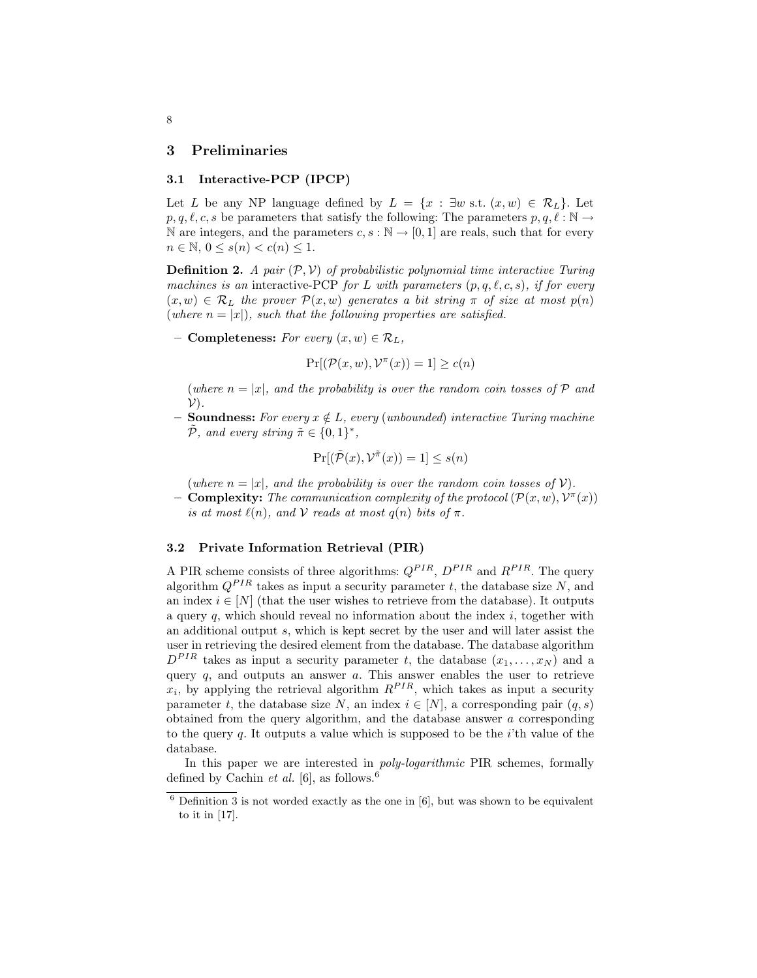### 3 Preliminaries

### 3.1 Interactive-PCP (IPCP)

Let L be any NP language defined by  $L = \{x : \exists w \text{ s.t. } (x, w) \in \mathcal{R}_L\}$ . Let  $p, q, \ell, c, s$  be parameters that satisfy the following: The parameters  $p, q, \ell : \mathbb{N} \to$ N are integers, and the parameters  $c, s : \mathbb{N} \to [0, 1]$  are reals, such that for every  $n \in \mathbb{N}, 0 \leq s(n) < c(n) \leq 1.$ 

**Definition 2.** A pair  $(\mathcal{P}, \mathcal{V})$  of probabilistic polynomial time interactive Turing machines is an interactive-PCP for L with parameters  $(p, q, \ell, c, s)$ , if for every  $(x, w) \in \mathcal{R}_L$  the prover  $\mathcal{P}(x, w)$  generates a bit string  $\pi$  of size at most  $p(n)$ (where  $n = |x|$ ), such that the following properties are satisfied.

– Completeness: For every  $(x, w) \in \mathcal{R}_L$ ,

$$
\Pr[(\mathcal{P}(x, w), \mathcal{V}^\pi(x)) = 1] \ge c(n)
$$

(where  $n = |x|$ , and the probability is over the random coin tosses of P and  $(\mathcal{V})$ .

**Soundness:** For every  $x \notin L$ , every (unbounded) interactive Turing machine  $\tilde{\mathcal{P}}$ , and every string  $\tilde{\pi} \in \{0,1\}^*$ ,

$$
\Pr[(\tilde{\mathcal{P}}(x), \mathcal{V}^{\tilde{\pi}}(x)) = 1] \le s(n)
$$

(where  $n = |x|$ , and the probability is over the random coin tosses of V).

**- Complexity:** The communication complexity of the protocol  $(\mathcal{P}(x, w), \mathcal{V}^{\pi}(x))$ is at most  $\ell(n)$ , and V reads at most  $q(n)$  bits of  $\pi$ .

### 3.2 Private Information Retrieval (PIR)

A PIR scheme consists of three algorithms:  $Q^{PIR}$ ,  $D^{PIR}$  and  $R^{PIR}$ . The query algorithm  $Q^{PIR}$  takes as input a security parameter t, the database size N, and an index  $i \in [N]$  (that the user wishes to retrieve from the database). It outputs a query q, which should reveal no information about the index  $i$ , together with an additional output s, which is kept secret by the user and will later assist the user in retrieving the desired element from the database. The database algorithm  $D^{PIR}$  takes as input a security parameter t, the database  $(x_1, \ldots, x_N)$  and a query  $q$ , and outputs an answer  $q$ . This answer enables the user to retrieve  $x_i$ , by applying the retrieval algorithm  $R^{PIR}$ , which takes as input a security parameter t, the database size N, an index  $i \in [N]$ , a corresponding pair  $(q, s)$ obtained from the query algorithm, and the database answer a corresponding to the query  $q$ . It outputs a value which is supposed to be the  $i$ 'th value of the database.

In this paper we are interested in poly-logarithmic PIR schemes, formally defined by Cachin *et al.* [6], as follows.<sup>6</sup>

 $6$  Definition 3 is not worded exactly as the one in [6], but was shown to be equivalent to it in [17].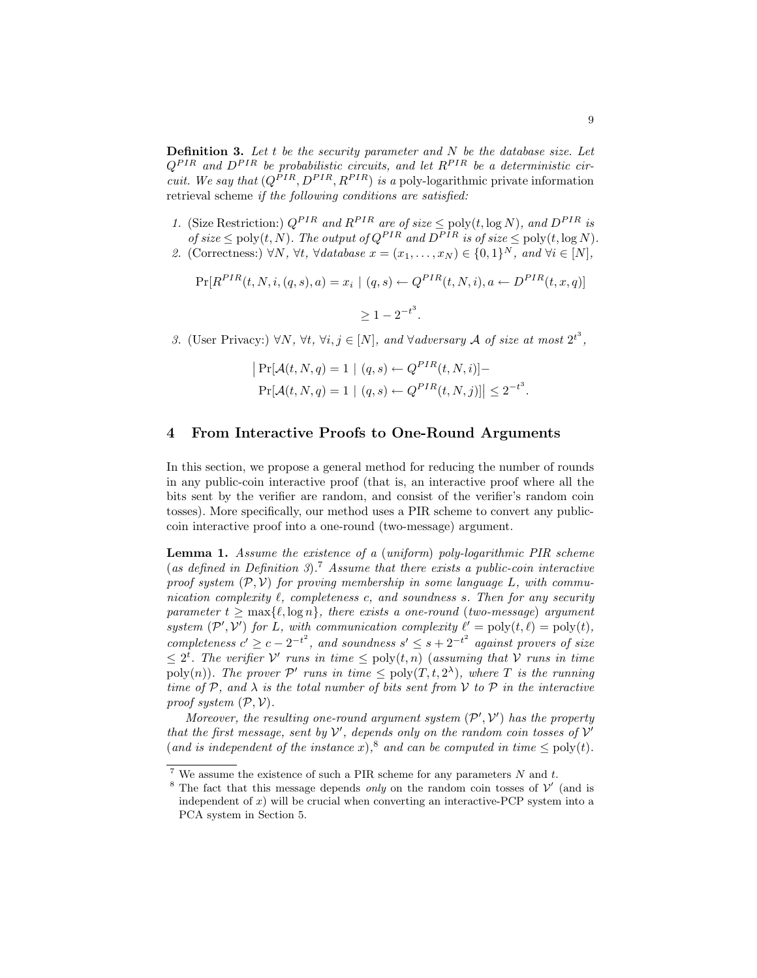**Definition 3.** Let t be the security parameter and  $N$  be the database size. Let  $Q^{PIR}$  and  $D^{PIR}$  be probabilistic circuits, and let  $R^{PIR}$  be a deterministic cir*cuit.* We say that  $(Q^{PIR}, D^{PIR}, R^{PIR})$  is a poly-logarithmic private information retrieval scheme if the following conditions are satisfied:

- 1. (Size Restriction:)  $Q^{PIR}$  and  $R^{PIR}$  are of size  $\leq$  poly $(t, \log N)$ , and  $D^{PIR}$  is of size  $\leq$  poly $(t, N)$ . The output of  $Q^{PIR}$  and  $D^{PIR}$  is of size  $\leq$  poly $(t, \log N)$ .
- 2. (Correctness:)  $\forall N, \forall t, \forall \text{database } x = (x_1, \dots, x_N) \in \{0, 1\}^N, \text{ and } \forall i \in [N],$

$$
\Pr[R^{PIR}(t, N, i, (q, s), a) = x_i | (q, s) \leftarrow Q^{PIR}(t, N, i), a \leftarrow D^{PIR}(t, x, q)]
$$
  

$$
\geq 1 - 2^{-t^3}.
$$

3. (User Privacy:)  $\forall N, \forall t, \forall i, j \in [N]$ , and  $\forall$ adversary A of size at most  $2^{t^3}$ ,

$$
|\Pr[\mathcal{A}(t, N, q) = 1 | (q, s) \leftarrow Q^{PIR}(t, N, i)] -
$$
  
\n $Pr[\mathcal{A}(t, N, q) = 1 | (q, s) \leftarrow Q^{PIR}(t, N, j)]| \leq 2^{-t^3}.$ 

### 4 From Interactive Proofs to One-Round Arguments

In this section, we propose a general method for reducing the number of rounds in any public-coin interactive proof (that is, an interactive proof where all the bits sent by the verifier are random, and consist of the verifier's random coin tosses). More specifically, our method uses a PIR scheme to convert any publiccoin interactive proof into a one-round (two-message) argument.

Lemma 1. Assume the existence of a (uniform) poly-logarithmic PIR scheme (as defined in Definition 3).<sup>7</sup> Assume that there exists a public-coin interactive proof system  $(\mathcal{P}, \mathcal{V})$  for proving membership in some language L, with communication complexity  $\ell$ , completeness c, and soundness s. Then for any security parameter  $t \geq \max\{\ell, \log n\}$ , there exists a one-round (two-message) argument system  $(\mathcal{P}', \mathcal{V}')$  for L, with communication complexity  $\ell' = \text{poly}(t, \ell) = \text{poly}(t)$ , completeness  $c' \geq c - 2^{-t^2}$ , and soundness  $s' \leq s + 2^{-t^2}$  against provers of size  $\leq 2^t$ . The verifier V' runs in time  $\leq$  poly $(t, n)$  (assuming that V runs in time poly(n)). The prover  $\mathcal{P}'$  runs in time  $\leq$  poly(T, t, 2<sup> $\lambda$ </sup>), where T is the running time of P, and  $\lambda$  is the total number of bits sent from V to P in the interactive proof system  $(\mathcal{P}, \mathcal{V})$ .

Moreover, the resulting one-round argument system  $(\mathcal{P}', \mathcal{V}')$  has the property that the first message, sent by  $V'$ , depends only on the random coin tosses of  $V'$ (and is independent of the instance x),<sup>8</sup> and can be computed in time  $\leq$  poly(t).

<sup>&</sup>lt;sup>7</sup> We assume the existence of such a PIR scheme for any parameters  $N$  and  $t$ .

<sup>&</sup>lt;sup>8</sup> The fact that this message depends *only* on the random coin tosses of  $\mathcal{V}'$  (and is independent of  $x$ ) will be crucial when converting an interactive-PCP system into a PCA system in Section 5.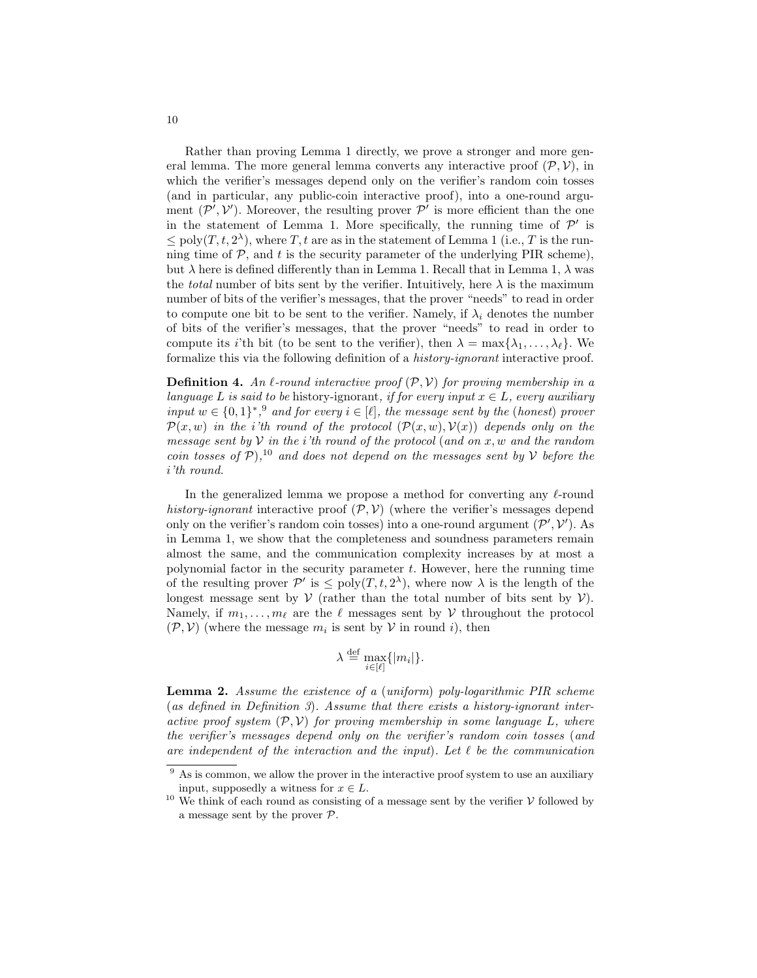Rather than proving Lemma 1 directly, we prove a stronger and more general lemma. The more general lemma converts any interactive proof  $(\mathcal{P}, \mathcal{V})$ , in which the verifier's messages depend only on the verifier's random coin tosses (and in particular, any public-coin interactive proof), into a one-round argument  $(\mathcal{P}', \mathcal{V}')$ . Moreover, the resulting prover  $\mathcal{P}'$  is more efficient than the one in the statement of Lemma 1. More specifically, the running time of  $\mathcal{P}'$  is  $\leq$  poly $(T, t, 2^{\lambda})$ , where T, t are as in the statement of Lemma 1 (i.e., T is the running time of  $P$ , and t is the security parameter of the underlying PIR scheme), but  $\lambda$  here is defined differently than in Lemma 1. Recall that in Lemma 1,  $\lambda$  was the *total* number of bits sent by the verifier. Intuitively, here  $\lambda$  is the maximum number of bits of the verifier's messages, that the prover "needs" to read in order to compute one bit to be sent to the verifier. Namely, if  $\lambda_i$  denotes the number of bits of the verifier's messages, that the prover "needs" to read in order to compute its *i*'th bit (to be sent to the verifier), then  $\lambda = \max\{\lambda_1, \ldots, \lambda_\ell\}$ . We formalize this via the following definition of a history-ignorant interactive proof.

**Definition 4.** An  $\ell$ -round interactive proof  $(\mathcal{P}, \mathcal{V})$  for proving membership in a language L is said to be history-ignorant, if for every input  $x \in L$ , every auxiliary input  $w \in \{0,1\}^*$ , and for every  $i \in [\ell]$ , the message sent by the (honest) prover  $\mathcal{P}(x, w)$  in the i'th round of the protocol  $(\mathcal{P}(x, w), \mathcal{V}(x))$  depends only on the message sent by  $V$  in the *i*'th round of the protocol (and on  $x, w$  and the random coin tosses of  $P$ ),<sup>10</sup> and does not depend on the messages sent by V before the i'th round.

In the generalized lemma we propose a method for converting any  $\ell$ -round history-ignorant interactive proof  $(\mathcal{P}, \mathcal{V})$  (where the verifier's messages depend only on the verifier's random coin tosses) into a one-round argument  $(\mathcal{P}', \mathcal{V}')$ . As in Lemma 1, we show that the completeness and soundness parameters remain almost the same, and the communication complexity increases by at most a polynomial factor in the security parameter  $t$ . However, here the running time of the resulting prover  $\mathcal{P}'$  is  $\leq$  poly $(T, t, 2^{\lambda})$ , where now  $\lambda$  is the length of the longest message sent by  $V$  (rather than the total number of bits sent by  $V$ ). Namely, if  $m_1, \ldots, m_\ell$  are the  $\ell$  messages sent by V throughout the protocol  $(\mathcal{P}, \mathcal{V})$  (where the message  $m_i$  is sent by  $\mathcal{V}$  in round i), then

$$
\lambda \stackrel{\mathrm{def}}{=} \max_{i \in [\ell]} \{|m_i|\}.
$$

Lemma 2. Assume the existence of a (uniform) poly-logarithmic PIR scheme (as defined in Definition 3). Assume that there exists a history-ignorant interactive proof system  $(\mathcal{P}, \mathcal{V})$  for proving membership in some language L, where the verifier's messages depend only on the verifier's random coin tosses (and are independent of the interaction and the input). Let  $\ell$  be the communication

 $9$  As is common, we allow the prover in the interactive proof system to use an auxiliary input, supposedly a witness for  $x \in L$ .

 $^{10}$  We think of each round as consisting of a message sent by the verifier  $\mathcal V$  followed by a message sent by the prover P.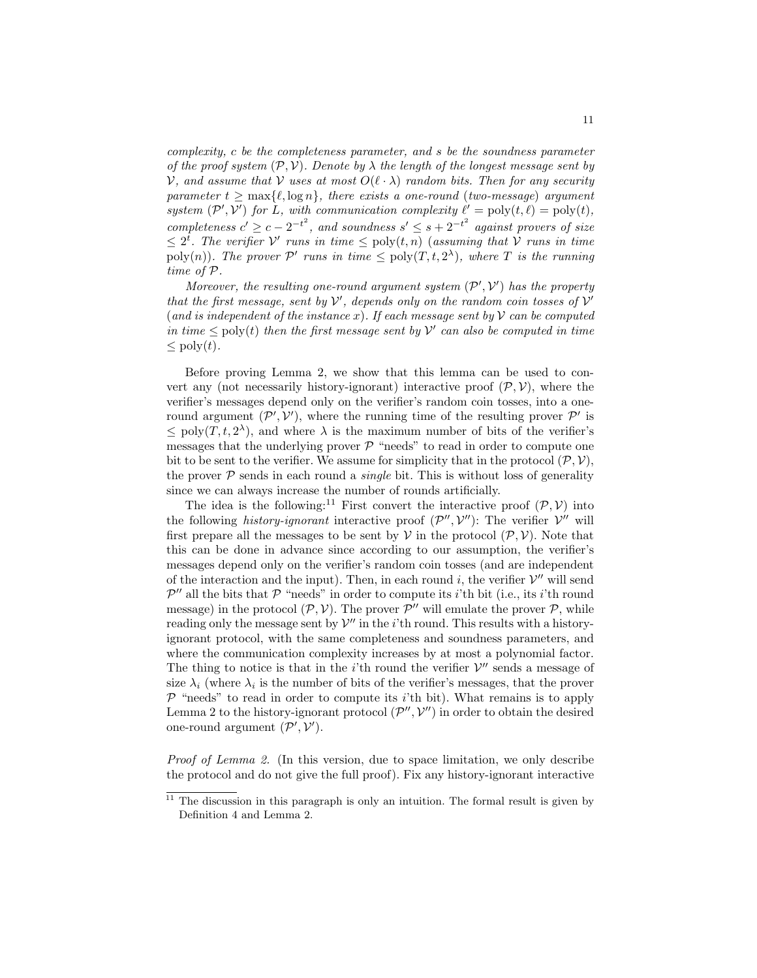complexity, c be the completeness parameter, and s be the soundness parameter of the proof system  $(\mathcal{P}, \mathcal{V})$ . Denote by  $\lambda$  the length of the longest message sent by V, and assume that V uses at most  $O(\ell \cdot \lambda)$  random bits. Then for any security parameter  $t \geq \max\{\ell, \log n\}$ , there exists a one-round (two-message) argument system  $(\mathcal{P}', \mathcal{V}')$  for L, with communication complexity  $\ell' = \text{poly}(t, \ell) = \text{poly}(t)$ , completeness  $c' \geq c - 2^{-t^2}$ , and soundness  $s' \leq s + 2^{-t^2}$  against provers of size  $\leq 2^t$ . The verifier V' runs in time  $\leq$  poly $(t, n)$  (assuming that V runs in time poly(n)). The prover  $\mathcal{P}'$  runs in time  $\leq$  poly(T, t, 2<sup> $\lambda$ </sup>), where T is the running time of P.

Moreover, the resulting one-round argument system  $(\mathcal{P}', \mathcal{V}')$  has the property that the first message, sent by  $V'$ , depends only on the random coin tosses of  $V'$ (and is independent of the instance x). If each message sent by  $\mathcal V$  can be computed in time  $\leq$  poly(t) then the first message sent by  $\mathcal{V}'$  can also be computed in time  $\leq$  poly $(t)$ .

Before proving Lemma 2, we show that this lemma can be used to convert any (not necessarily history-ignorant) interactive proof  $(\mathcal{P}, \mathcal{V})$ , where the verifier's messages depend only on the verifier's random coin tosses, into a oneround argument  $(\mathcal{P}', \mathcal{V}')$ , where the running time of the resulting prover  $\mathcal{P}'$  is  $\leq$  poly $(T, t, 2^{\lambda})$ , and where  $\lambda$  is the maximum number of bits of the verifier's messages that the underlying prover  $\mathcal{P}$  "needs" to read in order to compute one bit to be sent to the verifier. We assume for simplicity that in the protocol  $(\mathcal{P}, \mathcal{V}),$ the prover  $P$  sends in each round a *single* bit. This is without loss of generality since we can always increase the number of rounds artificially.

The idea is the following:<sup>11</sup> First convert the interactive proof  $(\mathcal{P}, \mathcal{V})$  into the following *history-ignorant* interactive proof  $(\mathcal{P}'', \mathcal{V}'')$ : The verifier  $\mathcal{V}''$  will first prepare all the messages to be sent by  $V$  in the protocol  $(\mathcal{P}, V)$ . Note that this can be done in advance since according to our assumption, the verifier's messages depend only on the verifier's random coin tosses (and are independent of the interaction and the input). Then, in each round i, the verifier  $V''$  will send  $\mathcal{P}''$  all the bits that  $\mathcal P$  "needs" in order to compute its *i*'th bit (i.e., its *i*'th round message) in the protocol  $(\mathcal{P}, \mathcal{V})$ . The prover  $\mathcal{P}''$  will emulate the prover  $\mathcal{P}$ , while reading only the message sent by  $\mathcal{V}''$  in the *i*'th round. This results with a historyignorant protocol, with the same completeness and soundness parameters, and where the communication complexity increases by at most a polynomial factor. The thing to notice is that in the *i*'th round the verifier  $V''$  sends a message of size  $\lambda_i$  (where  $\lambda_i$  is the number of bits of the verifier's messages, that the prover  $\mathcal P$  "needs" to read in order to compute its *i*'th bit). What remains is to apply Lemma 2 to the history-ignorant protocol  $(\mathcal{P}'', \mathcal{V}'')$  in order to obtain the desired one-round argument  $(\mathcal{P}', \mathcal{V}')$ .

Proof of Lemma 2. (In this version, due to space limitation, we only describe the protocol and do not give the full proof). Fix any history-ignorant interactive

 $11$  The discussion in this paragraph is only an intuition. The formal result is given by Definition 4 and Lemma 2.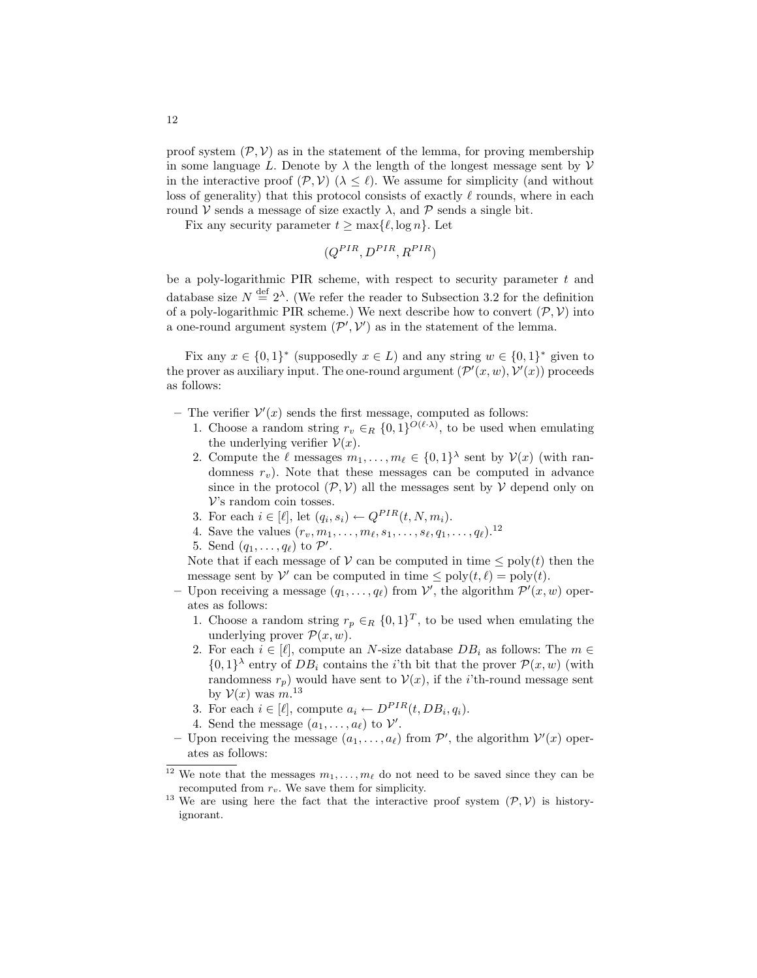proof system  $(\mathcal{P}, \mathcal{V})$  as in the statement of the lemma, for proving membership in some language L. Denote by  $\lambda$  the length of the longest message sent by  $\mathcal V$ in the interactive proof  $(\mathcal{P}, \mathcal{V})$  ( $\lambda \leq \ell$ ). We assume for simplicity (and without loss of generality) that this protocol consists of exactly  $\ell$  rounds, where in each round V sends a message of size exactly  $\lambda$ , and P sends a single bit.

Fix any security parameter  $t \ge \max\{\ell, \log n\}$ . Let

$$
(Q^{PIR}, D^{PIR}, R^{PIR})
$$

be a poly-logarithmic PIR scheme, with respect to security parameter  $t$  and database size  $N \stackrel{\text{def}}{=} 2^{\lambda}$ . (We refer the reader to Subsection 3.2 for the definition of a poly-logarithmic PIR scheme.) We next describe how to convert  $(\mathcal{P}, \mathcal{V})$  into a one-round argument system  $(\mathcal{P}', \mathcal{V}')$  as in the statement of the lemma.

Fix any  $x \in \{0,1\}^*$  (supposedly  $x \in L$ ) and any string  $w \in \{0,1\}^*$  given to the prover as auxiliary input. The one-round argument  $(\mathcal{P}'(x,w), \mathcal{V}'(x))$  proceeds as follows:

- The verifier  $V'(x)$  sends the first message, computed as follows:
	- 1. Choose a random string  $r_v \in_R \{0,1\}^{O(\ell \cdot \lambda)}$ , to be used when emulating the underlying verifier  $\mathcal{V}(x)$ .
	- 2. Compute the  $\ell$  messages  $m_1, \ldots, m_\ell \in \{0, 1\}^\lambda$  sent by  $\mathcal{V}(x)$  (with randomness  $r_v$ ). Note that these messages can be computed in advance since in the protocol  $(\mathcal{P}, \mathcal{V})$  all the messages sent by  $\mathcal V$  depend only on V's random coin tosses.
	- 3. For each  $i \in [\ell],$  let  $(q_i, s_i) \leftarrow Q^{PIR}(t, N, m_i)$ .
	- 4. Save the values  $(r_v, m_1, \ldots, m_\ell, s_1, \ldots, s_\ell, q_1, \ldots, q_\ell).$ <sup>12</sup>
	- 5. Send  $(q_1, \ldots, q_\ell)$  to  $\mathcal{P}'$ .

Note that if each message of  $V$  can be computed in time  $\leq$  poly $(t)$  then the message sent by  $\mathcal V'$  can be computed in time  $\leq$  poly $(t, \ell)$  = poly $(t)$ .

- Upon receiving a message  $(q_1, \ldots, q_\ell)$  from  $\mathcal{V}'$ , the algorithm  $\mathcal{P}'(x, w)$  operates as follows:
	- 1. Choose a random string  $r_p \in_R \{0,1\}^T$ , to be used when emulating the underlying prover  $\mathcal{P}(x, w)$ .
	- 2. For each  $i \in [\ell]$ , compute an N-size database  $DB_i$  as follows: The  $m \in$  $\{0,1\}^{\lambda}$  entry of  $DB_i$  contains the *i*'th bit that the prover  $\mathcal{P}(x, w)$  (with randomness  $r_p$ ) would have sent to  $\mathcal{V}(x)$ , if the *i*'th-round message sent by  $V(x)$  was  $m^{13}$
	- 3. For each  $i \in [\ell],$  compute  $a_i \leftarrow D^{PIR}(t, DB_i, q_i)$ .
	- 4. Send the message  $(a_1, \ldots, a_\ell)$  to  $\mathcal{V}'$ .
- Upon receiving the message  $(a_1, \ldots, a_\ell)$  from  $\mathcal{P}'$ , the algorithm  $\mathcal{V}'(x)$  operates as follows:

<sup>&</sup>lt;sup>12</sup> We note that the messages  $m_1, \ldots, m_\ell$  do not need to be saved since they can be recomputed from  $r_v$ . We save them for simplicity.

<sup>&</sup>lt;sup>13</sup> We are using here the fact that the interactive proof system  $(\mathcal{P}, \mathcal{V})$  is historyignorant.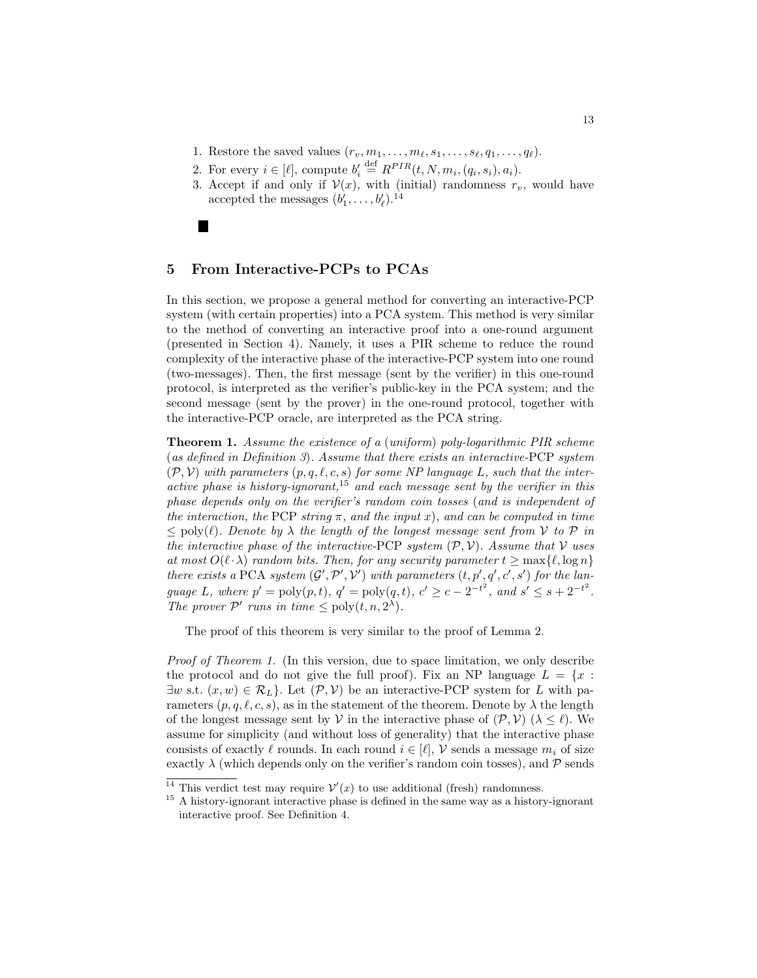- 1. Restore the saved values  $(r_v, m_1, \ldots, m_\ell, s_1, \ldots, s_\ell, q_1, \ldots, q_\ell).$
- 2. For every  $i \in [\ell],$  compute  $b'_i \stackrel{\text{def}}{=} R^{PIR}(t, N, m_i, (q_i, s_i), a_i)$ .
- 3. Accept if and only if  $V(x)$ , with (initial) randomness  $r_v$ , would have accepted the messages  $(b'_1, \ldots, b'_\ell)$ .<sup>14</sup>

### 5 From Interactive-PCPs to PCAs

In this section, we propose a general method for converting an interactive-PCP system (with certain properties) into a PCA system. This method is very similar to the method of converting an interactive proof into a one-round argument (presented in Section 4). Namely, it uses a PIR scheme to reduce the round complexity of the interactive phase of the interactive-PCP system into one round (two-messages). Then, the first message (sent by the verifier) in this one-round protocol, is interpreted as the verifier's public-key in the PCA system; and the second message (sent by the prover) in the one-round protocol, together with the interactive-PCP oracle, are interpreted as the PCA string.

Theorem 1. Assume the existence of a (uniform) poly-logarithmic PIR scheme (as defined in Definition 3). Assume that there exists an interactive-PCP system  $(\mathcal{P}, \mathcal{V})$  with parameters  $(p, q, \ell, c, s)$  for some NP language L, such that the interactive phase is history-ignorant,<sup>15</sup> and each message sent by the verifier in this phase depends only on the verifier's random coin tosses (and is independent of the interaction, the PCP string  $\pi$ , and the input x), and can be computed in time  $\leq$  poly( $\ell$ ). Denote by  $\lambda$  the length of the longest message sent from  $V$  to  $\mathcal P$  in the interactive phase of the interactive-PCP system  $(\mathcal{P}, \mathcal{V})$ . Assume that V uses at most  $O(\ell \cdot \lambda)$  random bits. Then, for any security parameter  $t \geq \max\{\ell, \log n\}$ there exists a PCA system  $(G', P', V')$  with parameters  $(t, p', q', c', s')$  for the language L, where  $p' = \text{poly}(p, t)$ ,  $q' = \text{poly}(q, t)$ ,  $c' \ge c - 2^{-t^2}$ , and  $s' \le s + 2^{-t^2}$ . The prover  $\mathcal{P}'$  runs in time  $\leq$  poly $(t, n, 2^{\lambda})$ .

The proof of this theorem is very similar to the proof of Lemma 2.

Proof of Theorem 1. (In this version, due to space limitation, we only describe the protocol and do not give the full proof). Fix an NP language  $L = \{x :$  $\exists w \text{ s.t. } (x, w) \in \mathcal{R}_L$ . Let  $(\mathcal{P}, V)$  be an interactive-PCP system for L with parameters  $(p, q, \ell, c, s)$ , as in the statement of the theorem. Denote by  $\lambda$  the length of the longest message sent by V in the interactive phase of  $(\mathcal{P}, \mathcal{V})$  ( $\lambda \leq \ell$ ). We assume for simplicity (and without loss of generality) that the interactive phase consists of exactly  $\ell$  rounds. In each round  $i \in [\ell], \mathcal{V}$  sends a message  $m_i$  of size exactly  $\lambda$  (which depends only on the verifier's random coin tosses), and  $\mathcal P$  sends

<sup>&</sup>lt;sup>14</sup> This verdict test may require  $\mathcal{V}'(x)$  to use additional (fresh) randomness.

 $^{15}$  A history-ignorant interactive phase is defined in the same way as a history-ignorant interactive proof. See Definition 4.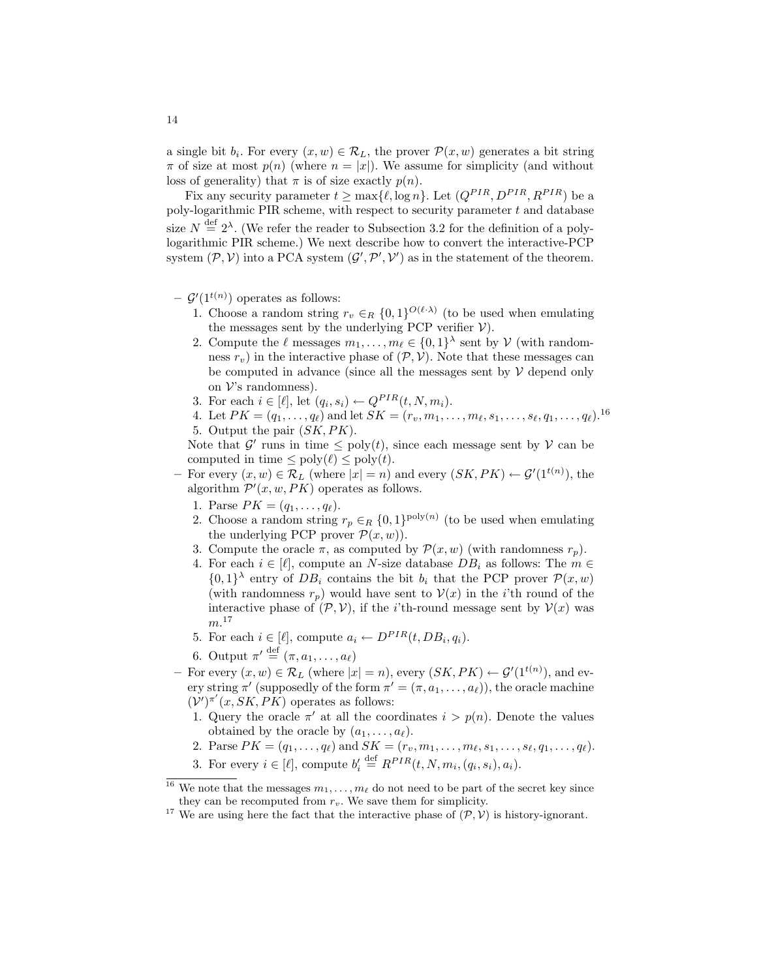a single bit  $b_i$ . For every  $(x, w) \in \mathcal{R}_L$ , the prover  $\mathcal{P}(x, w)$  generates a bit string  $\pi$  of size at most  $p(n)$  (where  $n = |x|$ ). We assume for simplicity (and without loss of generality) that  $\pi$  is of size exactly  $p(n)$ .

Fix any security parameter  $t \ge \max{\{\ell, \log n\}}$ . Let  $(Q^{PIR}, D^{PIR}, R^{PIR})$  be a poly-logarithmic PIR scheme, with respect to security parameter  $t$  and database size  $N \stackrel{\text{def}}{=} 2^{\lambda}$ . (We refer the reader to Subsection 3.2 for the definition of a polylogarithmic PIR scheme.) We next describe how to convert the interactive-PCP system  $(\mathcal{P}, \mathcal{V})$  into a PCA system  $(\mathcal{G}', \mathcal{P}', \mathcal{V}')$  as in the statement of the theorem.

- $\mathcal{G}'(1^{t(n)})$  operates as follows:
	- 1. Choose a random string  $r_v \in_R \{0,1\}^{O(\ell \cdot \lambda)}$  (to be used when emulating the messages sent by the underlying PCP verifier  $V$ ).
	- 2. Compute the  $\ell$  messages  $m_1, \ldots, m_\ell \in \{0, 1\}^\lambda$  sent by  $\mathcal V$  (with randomness  $r_v$ ) in the interactive phase of  $(\mathcal{P}, \mathcal{V})$ . Note that these messages can be computed in advance (since all the messages sent by  $V$  depend only on  $\mathcal V$ 's randomness).
	- 3. For each  $i \in [\ell], \text{ let } (q_i, s_i) \leftarrow Q^{PIR}(t, N, m_i).$
	- 4. Let  $PK = (q_1, \ldots, q_\ell)$  and let  $SK = (r_v, m_1, \ldots, m_\ell, s_1, \ldots, s_\ell, q_1, \ldots, q_\ell)$ .<sup>16</sup> 5. Output the pair (SK, PK).

Note that  $\mathcal{G}'$  runs in time  $\leq$  poly $(t)$ , since each message sent by  $\mathcal{V}$  can be computed in time  $\leq$  poly $(\ell) \leq$  poly $(t)$ .

- For every  $(x, w) \in \mathcal{R}_L$  (where  $|x| = n$ ) and every  $(SK, PK) \leftarrow \mathcal{G}'(1^{t(n)})$ , the algorithm  $\mathcal{P}'(x, w, PK)$  operates as follows.
	- 1. Parse  $PK = (q_1, \ldots, q_\ell).$
	- 2. Choose a random string  $r_p \in_R \{0,1\}^{\text{poly}(n)}$  (to be used when emulating the underlying PCP prover  $\mathcal{P}(x, w)$ .
	- 3. Compute the oracle  $\pi$ , as computed by  $\mathcal{P}(x, w)$  (with randomness  $r_p$ ).
	- 4. For each  $i \in [\ell]$ , compute an N-size database  $DB_i$  as follows: The  $m \in \mathbb{Z}$  $\{0,1\}^{\lambda}$  entry of  $DB_i$  contains the bit  $b_i$  that the PCP prover  $\mathcal{P}(x,w)$ (with randomness  $r_p$ ) would have sent to  $\mathcal{V}(x)$  in the *i*'th round of the interactive phase of  $(\mathcal{P}, \mathcal{V})$ , if the *i*'th-round message sent by  $\mathcal{V}(x)$  was  $m.^{17}$
	- 5. For each  $i \in [\ell],$  compute  $a_i \leftarrow D^{PIR}(t, DB_i, q_i)$ .
	- 6. Output  $\pi' \stackrel{\text{def}}{=} (\pi, a_1, \ldots, a_\ell)$
- For every  $(x, w) \in \mathcal{R}_L$  (where  $|x| = n$ ), every  $(SK, PK) \leftarrow \mathcal{G}'(1^{t(n)})$ , and every string  $\pi'$  (supposedly of the form  $\pi' = (\pi, a_1, \ldots, a_\ell)$ ), the oracle machine  $(\nu')^{\pi'}(x,SK,PK)$  operates as follows:
	- 1. Query the oracle  $\pi'$  at all the coordinates  $i > p(n)$ . Denote the values obtained by the oracle by  $(a_1, \ldots, a_\ell)$ .
	- 2. Parse  $PK = (q_1, \ldots, q_\ell)$  and  $SK = (r_v, m_1, \ldots, m_\ell, s_1, \ldots, s_\ell, q_1, \ldots, q_\ell).$
	- 3. For every  $i \in [\ell]$ , compute  $b'_i \stackrel{\text{def}}{=} R^{PIR}(t, N, m_i, (q_i, s_i), a_i)$ .

<sup>&</sup>lt;sup>16</sup> We note that the messages  $m_1, \ldots, m_\ell$  do not need to be part of the secret key since they can be recomputed from  $r_v$ . We save them for simplicity.

<sup>&</sup>lt;sup>17</sup> We are using here the fact that the interactive phase of  $(\mathcal{P}, \mathcal{V})$  is history-ignorant.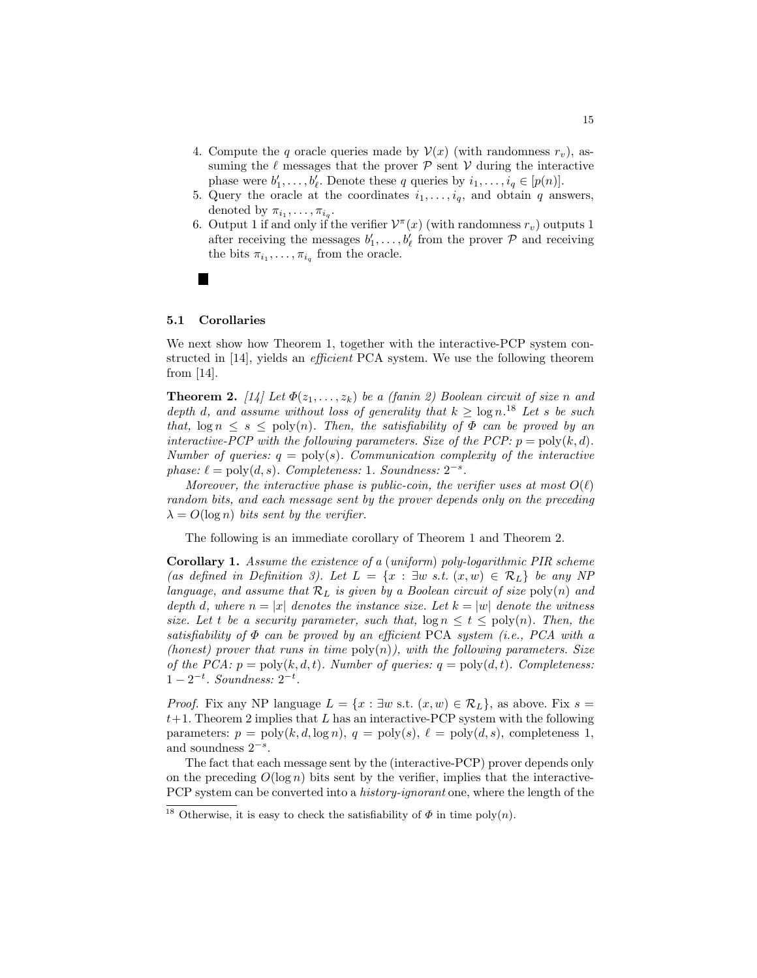- 4. Compute the q oracle queries made by  $\mathcal{V}(x)$  (with randomness  $r_v$ ), assuming the  $\ell$  messages that the prover  $\mathcal P$  sent  $\mathcal V$  during the interactive phase were  $b'_1, \ldots, b'_{\ell}$ . Denote these q queries by  $i_1, \ldots, i_q \in [p(n)]$ .
- 5. Query the oracle at the coordinates  $i_1, \ldots, i_q$ , and obtain q answers, denoted by  $\pi_{i_1}, \ldots, \pi_{i_q}$ .
- 6. Output 1 if and only if the verifier  $\mathcal{V}^{\pi}(x)$  (with randomness  $r_v$ ) outputs 1 after receiving the messages  $b'_1, \ldots, b'_\ell$  from the prover  $P$  and receiving the bits  $\pi_{i_1}, \ldots, \pi_{i_q}$  from the oracle.

### 5.1 Corollaries

We next show how Theorem 1, together with the interactive-PCP system constructed in [14], yields an efficient PCA system. We use the following theorem from [14].

**Theorem 2.** [14] Let  $\Phi(z_1, \ldots, z_k)$  be a (fanin 2) Boolean circuit of size n and depth d, and assume without loss of generality that  $k \geq \log n$ .<sup>18</sup> Let s be such that,  $\log n \leq s \leq \text{poly}(n)$ . Then, the satisfiability of  $\Phi$  can be proved by an interactive-PCP with the following parameters. Size of the PCP:  $p = \text{poly}(k, d)$ . Number of queries:  $q = \text{poly}(s)$ . Communication complexity of the interactive phase:  $\ell = \text{poly}(d, s)$ . Completeness: 1. Soundness:  $2^{-s}$ .

Moreover, the interactive phase is public-coin, the verifier uses at most  $O(\ell)$ random bits, and each message sent by the prover depends only on the preceding  $\lambda = O(\log n)$  bits sent by the verifier.

The following is an immediate corollary of Theorem 1 and Theorem 2.

Corollary 1. Assume the existence of a (uniform) poly-logarithmic PIR scheme (as defined in Definition 3). Let  $L = \{x : \exists w \text{ s.t. } (x, w) \in \mathcal{R}_L\}$  be any NP language, and assume that  $\mathcal{R}_L$  is given by a Boolean circuit of size  $\text{poly}(n)$  and depth d, where  $n = |x|$  denotes the instance size. Let  $k = |w|$  denote the witness size. Let t be a security parameter, such that,  $\log n \le t \le \text{poly}(n)$ . Then, the satisfiability of  $\Phi$  can be proved by an efficient PCA system (i.e., PCA with a (honest) prover that runs in time  $poly(n)$ , with the following parameters. Size of the PCA:  $p = poly(k, d, t)$ . Number of queries:  $q = poly(d, t)$ . Completeness:  $1-2^{-t}$ . Soundness:  $2^{-t}$ .

*Proof.* Fix any NP language  $L = \{x : \exists w \text{ s.t. } (x, w) \in \mathcal{R}_L\}$ , as above. Fix  $s =$  $t+1$ . Theorem 2 implies that L has an interactive-PCP system with the following parameters:  $p = \text{poly}(k, d, \log n), q = \text{poly}(s), \ell = \text{poly}(d, s),$  completeness 1, and soundness  $2^{-s}$ .

The fact that each message sent by the (interactive-PCP) prover depends only on the preceding  $O(\log n)$  bits sent by the verifier, implies that the interactive-PCP system can be converted into a *history-ignorant* one, where the length of the

<sup>&</sup>lt;sup>18</sup> Otherwise, it is easy to check the satisfiability of  $\Phi$  in time poly $(n)$ .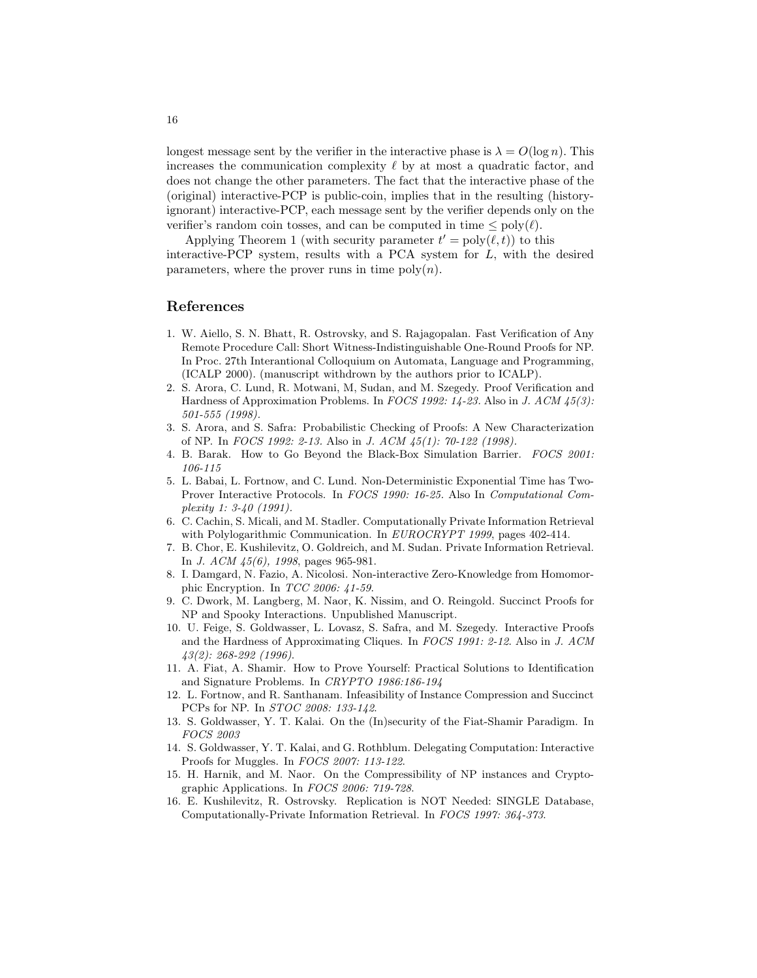longest message sent by the verifier in the interactive phase is  $\lambda = O(\log n)$ . This increases the communication complexity  $\ell$  by at most a quadratic factor, and does not change the other parameters. The fact that the interactive phase of the (original) interactive-PCP is public-coin, implies that in the resulting (historyignorant) interactive-PCP, each message sent by the verifier depends only on the verifier's random coin tosses, and can be computed in time  $\leq$  poly $(\ell)$ .

Applying Theorem 1 (with security parameter  $t' = \text{poly}(\ell, t)$ ) to this interactive-PCP system, results with a PCA system for L, with the desired parameters, where the prover runs in time  $poly(n)$ .

### References

- 1. W. Aiello, S. N. Bhatt, R. Ostrovsky, and S. Rajagopalan. Fast Verification of Any Remote Procedure Call: Short Witness-Indistinguishable One-Round Proofs for NP. In Proc. 27th Interantional Colloquium on Automata, Language and Programming, (ICALP 2000). (manuscript withdrown by the authors prior to ICALP).
- 2. S. Arora, C. Lund, R. Motwani, M, Sudan, and M. Szegedy. Proof Verification and Hardness of Approximation Problems. In FOCS 1992: 14-23. Also in J. ACM 45(3): 501-555 (1998).
- 3. S. Arora, and S. Safra: Probabilistic Checking of Proofs: A New Characterization of NP. In FOCS 1992: 2-13. Also in J. ACM 45(1): 70-122 (1998).
- 4. B. Barak. How to Go Beyond the Black-Box Simulation Barrier. FOCS 2001: 106-115
- 5. L. Babai, L. Fortnow, and C. Lund. Non-Deterministic Exponential Time has Two-Prover Interactive Protocols. In FOCS 1990: 16-25. Also In Computational Complexity 1: 3-40 (1991).
- 6. C. Cachin, S. Micali, and M. Stadler. Computationally Private Information Retrieval with Polylogarithmic Communication. In EUROCRYPT 1999, pages 402-414.
- 7. B. Chor, E. Kushilevitz, O. Goldreich, and M. Sudan. Private Information Retrieval. In J. ACM 45(6), 1998, pages 965-981.
- 8. I. Damgard, N. Fazio, A. Nicolosi. Non-interactive Zero-Knowledge from Homomorphic Encryption. In TCC 2006: 41-59.
- 9. C. Dwork, M. Langberg, M. Naor, K. Nissim, and O. Reingold. Succinct Proofs for NP and Spooky Interactions. Unpublished Manuscript.
- 10. U. Feige, S. Goldwasser, L. Lovasz, S. Safra, and M. Szegedy. Interactive Proofs and the Hardness of Approximating Cliques. In FOCS 1991: 2-12. Also in J. ACM 43(2): 268-292 (1996).
- 11. A. Fiat, A. Shamir. How to Prove Yourself: Practical Solutions to Identification and Signature Problems. In CRYPTO 1986:186-194
- 12. L. Fortnow, and R. Santhanam. Infeasibility of Instance Compression and Succinct PCPs for NP. In STOC 2008: 133-142.
- 13. S. Goldwasser, Y. T. Kalai. On the (In)security of the Fiat-Shamir Paradigm. In FOCS 2003
- 14. S. Goldwasser, Y. T. Kalai, and G. Rothblum. Delegating Computation: Interactive Proofs for Muggles. In FOCS 2007: 113-122.
- 15. H. Harnik, and M. Naor. On the Compressibility of NP instances and Cryptographic Applications. In FOCS 2006: 719-728.
- 16. E. Kushilevitz, R. Ostrovsky. Replication is NOT Needed: SINGLE Database, Computationally-Private Information Retrieval. In FOCS 1997: 364-373.